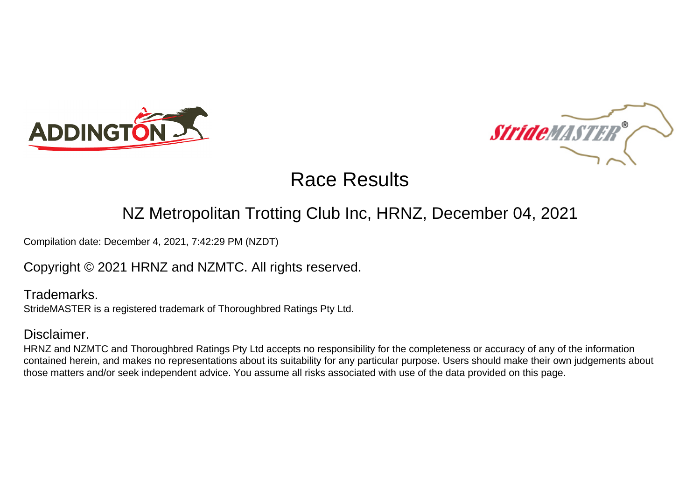



# Race Results

## NZ Metropolitan Trotting Club Inc, HRNZ, December 04, 2021

Compilation date: December 4, 2021, 7:42:29 PM (NZDT)

Copyright © 2021 HRNZ and NZMTC. All rights reserved.

Trademarks. StrideMASTER is a registered trademark of Thoroughbred Ratings Pty Ltd.

#### Disclaimer.

HRNZ and NZMTC and Thoroughbred Ratings Pty Ltd accepts no responsibility for the completeness or accuracy of any of the information contained herein, and makes no representations about its suitability for any particular purpose. Users should make their own judgements about those matters and/or seek independent advice. You assume all risks associated with use of the data provided on this page.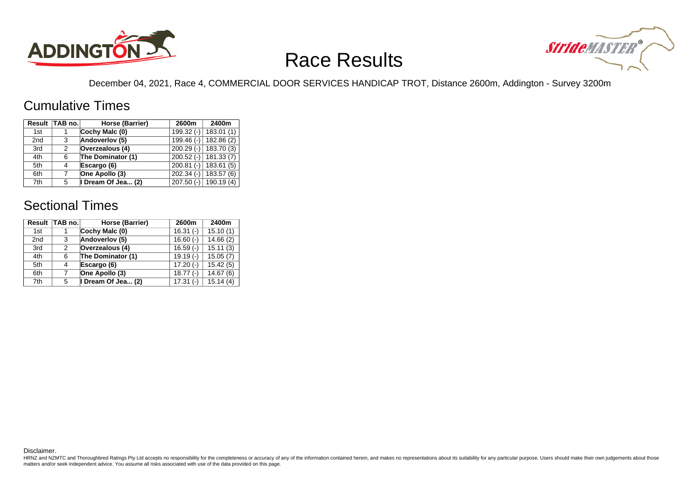

# Race Results



December 04, 2021, Race 4, COMMERCIAL DOOR SERVICES HANDICAP TROT, Distance 2600m, Addington - Survey 3200m

#### Cumulative Times

|                 | Result TAB no. | Horse (Barrier)   | 2600m        | 2400m                     |
|-----------------|----------------|-------------------|--------------|---------------------------|
| 1st             |                | Cochy Malc (0)    |              | $199.32$ (-)   183.01 (1) |
| 2 <sub>nd</sub> | 3              | Andoverlov (5)    | $199.46$ (-) | 182.86(2)                 |
| 3rd             | 2              | Overzealous (4)   | $200.29(-)$  | 183.70 (3)                |
| 4th             | 6              | The Dominator (1) | $200.52(-)$  | 181.33(7)                 |
| 5th             | 4              | Escargo (6)       | $200.81(-)$  | 183.61(5)                 |
| 6th             | 7              | One Apollo (3)    | $202.34(-)$  | 183.57 (6)                |
| 7th             | 5              | Dream Of Jea (2)  |              | 207.50 (-) 190.19 (4)     |

### Sectional Times

| Result          | <b>TAB no.</b> | Horse (Barrier)    | 2600m      | 2400m    |
|-----------------|----------------|--------------------|------------|----------|
| 1st             |                | Cochy Malc (0)     | $16.31(-)$ | 15.10(1) |
| 2 <sub>nd</sub> | 3              | Andoverlov (5)     | $16.60(-)$ | 14.66(2) |
| 3rd             | 2              | Overzealous (4)    | $16.59(-)$ | 15.11(3) |
| 4th             | 6              | The Dominator (1)  | $19.19(-)$ | 15.05(7) |
| 5th             | 4              | Escargo (6)        | $17.20(-)$ | 15.42(5) |
| 6th             | 7              | One Apollo (3)     | $18.77(-)$ | 14.67(6) |
| 7th             | 5              | I Dream Of Jea (2) | $17.31(-)$ | 15.14(4) |

Disclaimer.

HRNZ and NZMTC and Thoroughbred Ratings Pty Ltd accepts no responsibility for the completeness or accuracy of any of the information contained herein, and makes no representations about its suitability for any particular p matters and/or seek independent advice. You assume all risks associated with use of the data provided on this page.